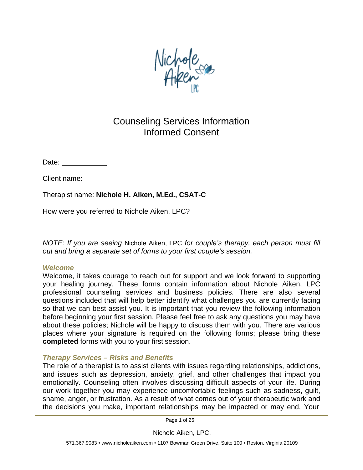

# Counseling Services Information Informed Consent

Date: <u>\_\_\_\_\_\_\_\_\_\_\_\_\_\_</u>

Client name:

Therapist name: **Nichole H. Aiken, M.Ed., CSAT-C**

How were you referred to Nichole Aiken, LPC?

*NOTE: If you are seeing* Nichole Aiken, LPC *for couple's therapy, each person must fill out and bring a separate set of forms to your first couple's session.*

#### *Welcome*

Welcome, it takes courage to reach out for support and we look forward to supporting your healing journey. These forms contain information about Nichole Aiken, LPC professional counseling services and business policies. There are also several questions included that will help better identify what challenges you are currently facing so that we can best assist you. It is important that you review the following information before beginning your first session. Please feel free to ask any questions you may have about these policies; Nichole will be happy to discuss them with you. There are various places where your signature is required on the following forms; please bring these **completed** forms with you to your first session.

# *Therapy Services – Risks and Benefits*

The role of a therapist is to assist clients with issues regarding relationships, addictions, and issues such as depression, anxiety, grief, and other challenges that impact you emotionally. Counseling often involves discussing difficult aspects of your life. During our work together you may experience uncomfortable feelings such as sadness, guilt, shame, anger, or frustration. As a result of what comes out of your therapeutic work and the decisions you make, important relationships may be impacted or may end. Your

Page 1 of 25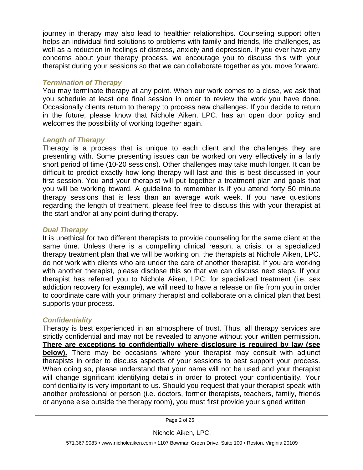journey in therapy may also lead to healthier relationships. Counseling support often helps an individual find solutions to problems with family and friends, life challenges, as well as a reduction in feelings of distress, anxiety and depression. If you ever have any concerns about your therapy process, we encourage you to discuss this with your therapist during your sessions so that we can collaborate together as you move forward.

#### *Termination of Therapy*

You may terminate therapy at any point. When our work comes to a close, we ask that you schedule at least one final session in order to review the work you have done. Occasionally clients return to therapy to process new challenges. If you decide to return in the future, please know that Nichole Aiken, LPC. has an open door policy and welcomes the possibility of working together again.

### *Length of Therapy*

Therapy is a process that is unique to each client and the challenges they are presenting with. Some presenting issues can be worked on very effectively in a fairly short period of time (10-20 sessions). Other challenges may take much longer. It can be difficult to predict exactly how long therapy will last and this is best discussed in your first session. You and your therapist will put together a treatment plan and goals that you will be working toward. A guideline to remember is if you attend forty 50 minute therapy sessions that is less than an average work week. If you have questions regarding the length of treatment, please feel free to discuss this with your therapist at the start and/or at any point during therapy.

### *Dual Therapy*

It is unethical for two different therapists to provide counseling for the same client at the same time. Unless there is a compelling clinical reason, a crisis, or a specialized therapy treatment plan that we will be working on, the therapists at Nichole Aiken, LPC. do not work with clients who are under the care of another therapist. If you are working with another therapist, please disclose this so that we can discuss next steps. If your therapist has referred you to Nichole Aiken, LPC. for specialized treatment (i.e. sex addiction recovery for example), we will need to have a release on file from you in order to coordinate care with your primary therapist and collaborate on a clinical plan that best supports your process.

# *Confidentiality*

Therapy is best experienced in an atmosphere of trust. Thus, all therapy services are strictly confidential and may not be revealed to anyone without your written permission**. There are exceptions to confidentially where disclosure is required by law (see below).** There may be occasions where your therapist may consult with adjunct therapists in order to discuss aspects of your sessions to best support your process. When doing so, please understand that your name will not be used and your therapist will change significant identifying details in order to protect your confidentiality. Your confidentiality is very important to us. Should you request that your therapist speak with another professional or person (i.e. doctors, former therapists, teachers, family, friends or anyone else outside the therapy room), you must first provide your signed written

Page 2 of 25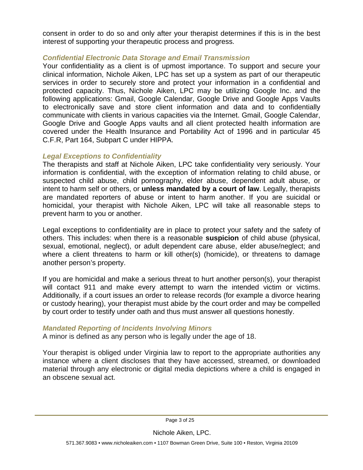consent in order to do so and only after your therapist determines if this is in the best interest of supporting your therapeutic process and progress.

#### *Confidential Electronic Data Storage and Email Transmission*

Your confidentiality as a client is of upmost importance. To support and secure your clinical information, Nichole Aiken, LPC has set up a system as part of our therapeutic services in order to securely store and protect your information in a confidential and protected capacity. Thus, Nichole Aiken, LPC may be utilizing Google Inc. and the following applications: Gmail, Google Calendar, Google Drive and Google Apps Vaults to electronically save and store client information and data and to confidentially communicate with clients in various capacities via the Internet. Gmail, Google Calendar, Google Drive and Google Apps vaults and all client protected health information are covered under the Health Insurance and Portability Act of 1996 and in particular 45 C.F.R, Part 164, Subpart C under HIPPA.

#### *Legal Exceptions to Confidentiality*

The therapists and staff at Nichole Aiken, LPC take confidentiality very seriously. Your information is confidential, with the exception of information relating to child abuse, or suspected child abuse, child pornography, elder abuse, dependent adult abuse, or intent to harm self or others, or **unless mandated by a court of law**. Legally, therapists are mandated reporters of abuse or intent to harm another. If you are suicidal or homicidal, your therapist with Nichole Aiken, LPC will take all reasonable steps to prevent harm to you or another.

Legal exceptions to confidentiality are in place to protect your safety and the safety of others. This includes: when there is a reasonable **suspicion** of child abuse (physical, sexual, emotional, neglect), or adult dependent care abuse, elder abuse/neglect; and where a client threatens to harm or kill other(s) (homicide), or threatens to damage another person's property.

If you are homicidal and make a serious threat to hurt another person(s), your therapist will contact 911 and make every attempt to warn the intended victim or victims. Additionally*,* if a court issues an order to release records (for example a divorce hearing or custody hearing), your therapist must abide by the court order and may be compelled by court order to testify under oath and thus must answer all questions honestly.

#### *Mandated Reporting of Incidents Involving Minors*

A minor is defined as any person who is legally under the age of 18.

Your therapist is obliged under Virginia law to report to the appropriate authorities any instance where a client discloses that they have accessed, streamed, or downloaded material through any electronic or digital media depictions where a child is engaged in an obscene sexual act.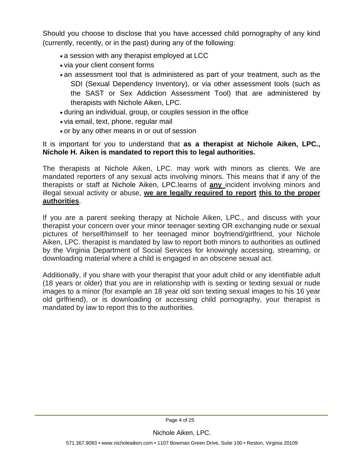Should you choose to disclose that you have accessed child pornography of any kind (currently, recently, or in the past) during any of the following:

- a session with any therapist employed at LCC
- via your client consent forms
- an assessment tool that is administered as part of your treatment, such as the SDI (Sexual Dependency Inventory), or via other assessment tools (such as the SAST or Sex Addiction Assessment Tool) that are administered by therapists with Nichole Aiken, LPC.
- during an individual, group, or couples session in the office
- via email, text, phone, regular mail
- or by any other means in or out of session

#### It is important for you to understand that **as a therapist at Nichole Aiken, LPC., Nichole H. Aiken is mandated to report this to legal authorities.**

The therapists at Nichole Aiken, LPC. may work with minors as clients. We are mandated reporters of any sexual acts involving minors. This means that if any of the therapists or staff at Nichole Aiken, LPC.learns of **any** incident involving minors and illegal sexual activity or abuse, **we are legally required to report this to the proper authorities**.

If you are a parent seeking therapy at Nichole Aiken, LPC., and discuss with your therapist your concern over your minor teenager sexting OR exchanging nude or sexual pictures of herself/himself to her teenaged minor boyfriend/girlfriend, your Nichole Aiken, LPC. therapist is mandated by law to report both minors to authorities as outlined by the Virginia Department of Social Services for knowingly accessing, streaming, or downloading material where a child is engaged in an obscene sexual act.

Additionally, if you share with your therapist that your adult child or any identifiable adult (18 years or older) that you are in relationship with is sexting or texting sexual or nude images to a minor (for example an 18 year old son texting sexual images to his 16 year old girlfriend), or is downloading or accessing child pornography, your therapist is mandated by law to report this to the authorities.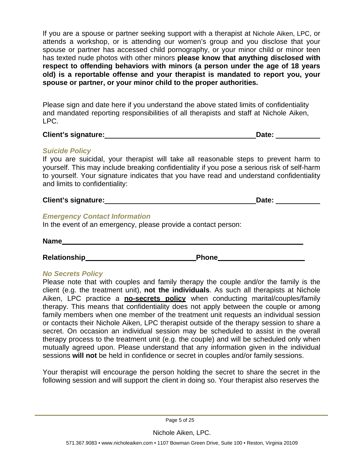If you are a spouse or partner seeking support with a therapist at Nichole Aiken, LPC, or attends a workshop, or is attending our women's group and you disclose that your spouse or partner has accessed child pornography, or your minor child or minor teen has texted nude photos with other minors **please know that anything disclosed with respect to offending behaviors with minors (a person under the age of 18 years old) is a reportable offense and your therapist is mandated to report you, your spouse or partner, or your minor child to the proper authorities.**

Please sign and date here if you understand the above stated limits of confidentiality and mandated reporting responsibilities of all therapists and staff at Nichole Aiken, LPC.

| <b>Client's signature:</b> | Date: |  |
|----------------------------|-------|--|
|                            |       |  |

### *Suicide Policy*

If you are suicidal, your therapist will take all reasonable steps to prevent harm to yourself. This may include breaking confidentiality if you pose a serious risk of self-harm to yourself. Your signature indicates that you have read and understand confidentiality and limits to confidentiality:

# **Client's signature: Date:**

### *Emergency Contact Information*

In the event of an emergency, please provide a contact person:

**Name**

**Relationship Phone** 

# *No Secrets Policy*

Please note that with couples and family therapy the couple and/or the family is the client (e.g. the treatment unit), **not the individuals**. As such all therapists at Nichole Aiken, LPC practice a **no-secrets policy** when conducting marital/couples/family therapy. This means that confidentiality does not apply between the couple or among family members when one member of the treatment unit requests an individual session or contacts their Nichole Aiken, LPC therapist outside of the therapy session to share a secret. On occasion an individual session may be scheduled to assist in the overall therapy process to the treatment unit (e.g. the couple) and will be scheduled only when mutually agreed upon. Please understand that any information given in the individual sessions **will not** be held in confidence or secret in couples and/or family sessions.

Your therapist will encourage the person holding the secret to share the secret in the following session and will support the client in doing so. Your therapist also reserves the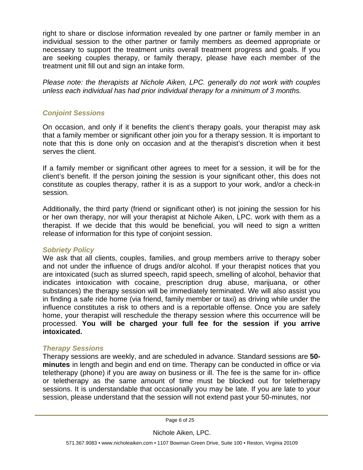right to share or disclose information revealed by one partner or family member in an individual session to the other partner or family members as deemed appropriate or necessary to support the treatment units overall treatment progress and goals. If you are seeking couples therapy, or family therapy, please have each member of the treatment unit fill out and sign an intake form.

*Please note: the therapists at Nichole Aiken, LPC. generally do not work with couples unless each individual has had prior individual therapy for a minimum of 3 months.*

### *Conjoint Sessions*

On occasion, and only if it benefits the client's therapy goals, your therapist may ask that a family member or significant other join you for a therapy session. It is important to note that this is done only on occasion and at the therapist's discretion when it best serves the client.

If a family member or significant other agrees to meet for a session, it will be for the client's benefit. If the person joining the session is your significant other, this does not constitute as couples therapy, rather it is as a support to your work, and/or a check-in session.

Additionally, the third party (friend or significant other) is not joining the session for his or her own therapy, nor will your therapist at Nichole Aiken, LPC. work with them as a therapist. If we decide that this would be beneficial, you will need to sign a written release of information for this type of conjoint session.

#### *Sobriety Policy*

We ask that all clients, couples, families, and group members arrive to therapy sober and not under the influence of drugs and/or alcohol. If your therapist notices that you are intoxicated (such as slurred speech, rapid speech, smelling of alcohol, behavior that indicates intoxication with cocaine, prescription drug abuse, marijuana, or other substances) the therapy session will be immediately terminated. We will also assist you in finding a safe ride home (via friend, family member or taxi) as driving while under the influence constitutes a risk to others and is a reportable offense. Once you are safely home, your therapist will reschedule the therapy session where this occurrence will be processed. **You will be charged your full fee for the session if you arrive intoxicated.**

#### *Therapy Sessions*

Therapy sessions are weekly, and are scheduled in advance. Standard sessions are **50 minutes** in length and begin and end on time. Therapy can be conducted in office or via teletherapy (phone) if you are away on business or ill. The fee is the same for in- office or teletherapy as the same amount of time must be blocked out for teletherapy sessions. It is understandable that occasionally you may be late. If you are late to your session, please understand that the session will not extend past your 50-minutes, nor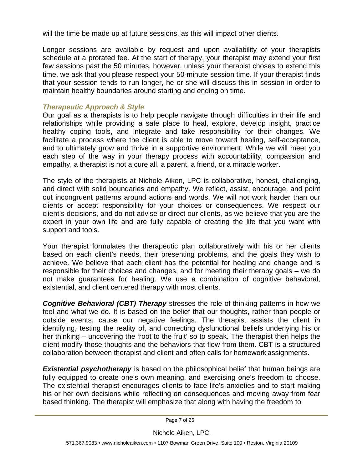will the time be made up at future sessions, as this will impact other clients.

Longer sessions are available by request and upon availability of your therapists schedule at a prorated fee. At the start of therapy, your therapist may extend your first few sessions past the 50 minutes, however, unless your therapist choses to extend this time, we ask that you please respect your 50-minute session time. If your therapist finds that your session tends to run longer, he or she will discuss this in session in order to maintain healthy boundaries around starting and ending on time.

### *Therapeutic Approach & Style*

Our goal as a therapists is to help people navigate through difficulties in their life and relationships while providing a safe place to heal, explore, develop insight, practice healthy coping tools, and integrate and take responsibility for their changes. We facilitate a process where the client is able to move toward healing, self-acceptance, and to ultimately grow and thrive in a supportive environment. While we will meet you each step of the way in your therapy process with accountability, compassion and empathy, a therapist is not a cure all, a parent, a friend, or a miracle worker.

The style of the therapists at Nichole Aiken, LPC is collaborative, honest, challenging, and direct with solid boundaries and empathy. We reflect, assist, encourage, and point out incongruent patterns around actions and words. We will not work harder than our clients or accept responsibility for your choices or consequences. We respect our client's decisions, and do not advise or direct our clients, as we believe that you are the expert in your own life and are fully capable of creating the life that you want with support and tools.

Your therapist formulates the therapeutic plan collaboratively with his or her clients based on each client's needs, their presenting problems, and the goals they wish to achieve. We believe that each client has the potential for healing and change and is responsible for their choices and changes, and for meeting their therapy goals – we do not make guarantees for healing. We use a combination of cognitive behavioral, existential, and client centered therapy with most clients.

*Cognitive Behavioral (CBT) Therapy* stresses the role of thinking patterns in how we feel and what we do. It is based on the belief that our thoughts, rather than people or outside events, cause our negative feelings. The therapist assists the client in identifying, testing the reality of, and correcting dysfunctional beliefs underlying his or her thinking – uncovering the 'root to the fruit' so to speak. The therapist then helps the client modify those thoughts and the behaviors that flow from them. CBT is a structured collaboration between therapist and client and often calls for homework assignments.

**Existential psychotherapy** is based on the philosophical belief that human beings are fully equipped to create one's own meaning, and exercising one's freedom to choose. The existential therapist encourages clients to face life's anxieties and to start making his or her own decisions while reflecting on consequences and moving away from fear based thinking. The therapist will emphasize that along with having the freedom to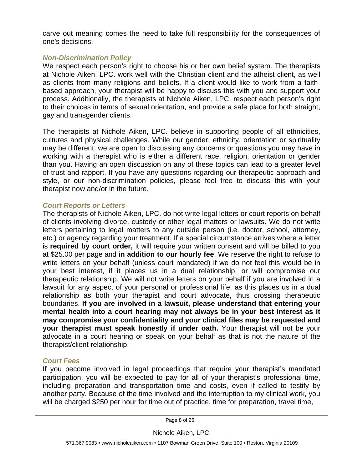carve out meaning comes the need to take full responsibility for the consequences of one's decisions.

### *Non-Discrimination Policy*

We respect each person's right to choose his or her own belief system. The therapists at Nichole Aiken, LPC. work well with the Christian client and the atheist client, as well as clients from many religions and beliefs. If a client would like to work from a faithbased approach, your therapist will be happy to discuss this with you and support your process. Additionally, the therapists at Nichole Aiken, LPC. respect each person's right to their choices in terms of sexual orientation, and provide a safe place for both straight, gay and transgender clients.

The therapists at Nichole Aiken, LPC. believe in supporting people of all ethnicities, cultures and physical challenges. While our gender, ethnicity, orientation or spirituality may be different, we are open to discussing any concerns or questions you may have in working with a therapist who is either a different race, religion, orientation or gender than you. Having an open discussion on any of these topics can lead to a greater level of trust and rapport. If you have any questions regarding our therapeutic approach and style, or our non-discrimination policies, please feel free to discuss this with your therapist now and/or in the future.

#### *Court Reports or Letters*

The therapists of Nichole Aiken, LPC. do not write legal letters or court reports on behalf of clients involving divorce, custody or other legal matters or lawsuits. We do not write letters pertaining to legal matters to any outside person (i.e. doctor, school, attorney, etc.) or agency regarding your treatment. If a special circumstance arrives where a letter is **required by court order,** it will require your written consent and will be billed to you at \$25.00 per page and **in addition to our hourly fee**. We reserve the right to refuse to write letters on your behalf (unless court mandated) if we do not feel this would be in your best interest, if it places us in a dual relationship, or will compromise our therapeutic relationship. We will not write letters on your behalf if you are involved in a lawsuit for any aspect of your personal or professional life, as this places us in a dual relationship as both your therapist and court advocate, thus crossing therapeutic boundaries. **If you are involved in a lawsuit, please understand that entering your mental health into a court hearing may not always be in your best interest as it may compromise your confidentiality and your clinical files may be requested and your therapist must speak honestly if under oath.** Your therapist will not be your advocate in a court hearing or speak on your behalf as that is not the nature of the therapist/client relationship.

# *Court Fees*

If you become involved in legal proceedings that require your therapist's mandated participation, you will be expected to pay for all of your therapist's professional time, including preparation and transportation time and costs, even if called to testify by another party. Because of the time involved and the interruption to my clinical work, you will be charged \$250 per hour for time out of practice, time for preparation, travel time,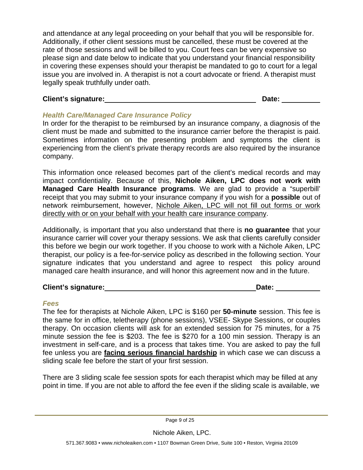and attendance at any legal proceeding on your behalf that you will be responsible for. Additionally, if other client sessions must be cancelled, these must be covered at the rate of those sessions and will be billed to you. Court fees can be very expensive so please sign and date below to indicate that you understand your financial responsibility in covering these expenses should your therapist be mandated to go to court for a legal issue you are involved in. A therapist is not a court advocate or friend. A therapist must legally speak truthfully under oath.

# **Client's signature: Date:**

# *Health Care/Managed Care Insurance Policy*

In order for the therapist to be reimbursed by an insurance company, a diagnosis of the client must be made and submitted to the insurance carrier before the therapist is paid. Sometimes information on the presenting problem and symptoms the client is experiencing from the client's private therapy records are also required by the insurance company.

This information once released becomes part of the client's medical records and may impact confidentiality. Because of this, **Nichole Aiken, LPC does not work with Managed Care Health Insurance programs**. We are glad to provide a "superbill' receipt that you may submit to your insurance company if you wish for a **possible** out of network reimbursement, however, Nichole Aiken, LPC will not fill out forms or work directly with or on your behalf with your health care insurance company.

Additionally, is important that you also understand that there is **no guarantee** that your insurance carrier will cover your therapy sessions. We ask that clients carefully consider this before we begin our work together. If you choose to work with a Nichole Aiken, LPC therapist, our policy is a fee-for-service policy as described in the following section. Your signature indicates that you understand and agree to respect this policy around managed care health insurance, and will honor this agreement now and in the future.

# **Client's signature: Date:**

# *Fees*

The fee for therapists at Nichole Aiken, LPC is \$160 per **50-minute** session. This fee is the same for in office, teletherapy (phone sessions), VSEE- Skype Sessions, or couples therapy. On occasion clients will ask for an extended session for 75 minutes, for a 75 minute session the fee is \$203. The fee is \$270 for a 100 min session. Therapy is an investment in self-care, and is a process that takes time. You are asked to pay the full fee unless you are **facing serious financial hardship** in which case we can discuss a sliding scale fee before the start of your first session.

There are 3 sliding scale fee session spots for each therapist which may be filled at any point in time. If you are not able to afford the fee even if the sliding scale is available, we

Page 9 of 25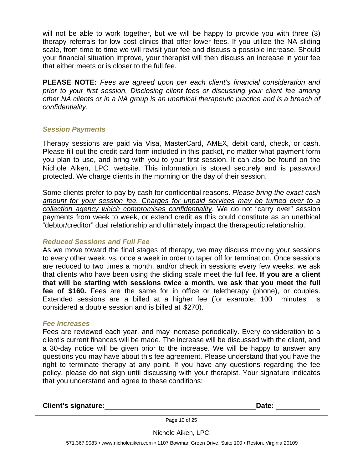will not be able to work together, but we will be happy to provide you with three (3) therapy referrals for low cost clinics that offer lower fees. If you utilize the NA sliding scale, from time to time we will revisit your fee and discuss a possible increase. Should your financial situation improve, your therapist will then discuss an increase in your fee that either meets or is closer to the full fee.

**PLEASE NOTE:** *Fees are agreed upon per each client's financial consideration and prior to your first session. Disclosing client fees or discussing your client fee among other NA clients or in a NA group is an unethical therapeutic practice and is a breach of confidentiality.*

#### *Session Payments*

Therapy sessions are paid via Visa, MasterCard, AMEX, debit card, check, or cash. Please fill out the credit card form included in this packet, no matter what payment form you plan to use, and bring with you to your first session. It can also be found on the Nichole Aiken, LPC. website. This information is stored securely and is password protected. We charge clients in the morning on the day of their session.

Some clients prefer to pay by cash for confidential reasons. *Please bring the exact cash amount for your session fee. Charges for unpaid services may be turned over to a collection agency which compromises confidentiality*. We do not "carry over" session payments from week to week, or extend credit as this could constitute as an unethical "debtor/creditor" dual relationship and ultimately impact the therapeutic relationship.

# *Reduced Sessions and Full Fee*

As we move toward the final stages of therapy, we may discuss moving your sessions to every other week, vs. once a week in order to taper off for termination. Once sessions are reduced to two times a month, and/or check in sessions every few weeks, we ask that clients who have been using the sliding scale meet the full fee. **If you are a client that will be starting with sessions twice a month, we ask that you meet the full fee of \$160.** Fees are the same for in office or teletherapy (phone), or couples. Extended sessions are a billed at a higher fee (for example: 100 minutes is considered a double session and is billed at \$270).

#### *Fee Increases*

Fees are reviewed each year, and may increase periodically. Every consideration to a client's current finances will be made. The increase will be discussed with the client, and a 30-day notice will be given prior to the increase. We will be happy to answer any questions you may have about this fee agreement. Please understand that you have the right to terminate therapy at any point. If you have any questions regarding the fee policy, please do not sign until discussing with your therapist. Your signature indicates that you understand and agree to these conditions:

**Client's signature: Date:**

Page 10 of 25

Nichole Aiken, LPC.

571.367.9083 [• www.nicholeaiken.com](http://www.nicholeaiken.com/) • 1107 Bowman Green Drive, Suite 100 • Reston, Virginia 20109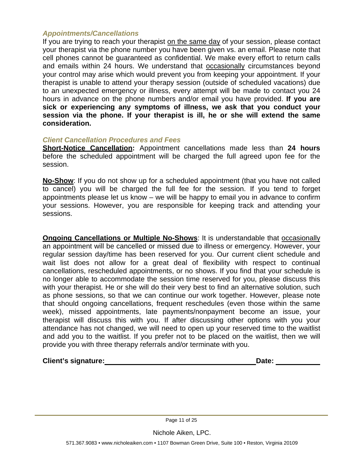#### *Appointments/Cancellations*

If you are trying to reach your therapist on the same day of your session, please contact your therapist via the phone number you have been given vs. an email. Please note that cell phones cannot be guaranteed as confidential. We make every effort to return calls and emails within 24 hours. We understand that occasionally circumstances beyond your control may arise which would prevent you from keeping your appointment. If your therapist is unable to attend your therapy session (outside of scheduled vacations) due to an unexpected emergency or illness, every attempt will be made to contact you 24 hours in advance on the phone numbers and/or email you have provided. **If you are sick or experiencing any symptoms of illness, we ask that you conduct your session via the phone. If your therapist is ill, he or she will extend the same consideration.**

#### *Client Cancellation Procedures and Fees*

**Short-Notice Cancellation:** Appointment cancellations made less than **24 hours**  before the scheduled appointment will be charged the full agreed upon fee for the session.

**No-Show**: If you do not show up for a scheduled appointment (that you have not called to cancel) you will be charged the full fee for the session. If you tend to forget appointments please let us know – we will be happy to email you in advance to confirm your sessions. However, you are responsible for keeping track and attending your sessions.

**Ongoing Cancellations or Multiple No-Shows:** It is understandable that occasionally an appointment will be cancelled or missed due to illness or emergency. However, your regular session day/time has been reserved for you. Our current client schedule and wait list does not allow for a great deal of flexibility with respect to continual cancellations, rescheduled appointments, or no shows. If you find that your schedule is no longer able to accommodate the session time reserved for you, please discuss this with your therapist. He or she will do their very best to find an alternative solution, such as phone sessions, so that we can continue our work together. However, please note that should ongoing cancellations, frequent reschedules (even those within the same week), missed appointments, late payments/nonpayment become an issue, your therapist will discuss this with you. If after discussing other options with you your attendance has not changed, we will need to open up your reserved time to the waitlist and add you to the waitlist. If you prefer not to be placed on the waitlist, then we will provide you with three therapy referrals and/or terminate with you.

**Client's signature: Date:**

Page 11 of 25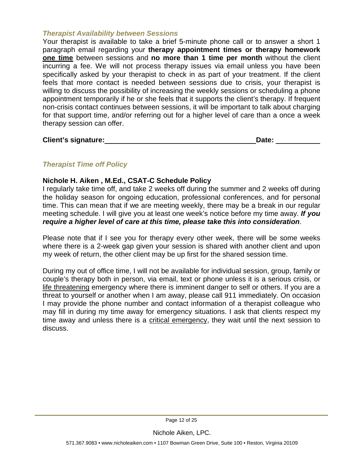#### *Therapist Availability between Sessions*

Your therapist is available to take a brief 5-minute phone call or to answer a short 1 paragraph email regarding your **therapy appointment times or therapy homework one time** between sessions and **no more than 1 time per month** without the client incurring a fee. We will not process therapy issues via email unless you have been specifically asked by your therapist to check in as part of your treatment. If the client feels that more contact is needed between sessions due to crisis, your therapist is willing to discuss the possibility of increasing the weekly sessions or scheduling a phone appointment temporarily if he or she feels that it supports the client's therapy. If frequent non-crisis contact continues between sessions, it will be important to talk about charging for that support time, and/or referring out for a higher level of care than a once a week therapy session can offer.

**Client's signature: Date:**

# *Therapist Time off Policy*

#### **Nichole H. Aiken , M.Ed., CSAT-C Schedule Policy**

I regularly take time off, and take 2 weeks off during the summer and 2 weeks off during the holiday season for ongoing education, professional conferences, and for personal time. This can mean that if we are meeting weekly, there may be a break in our regular meeting schedule. I will give you at least one week's notice before my time away. *If you require a higher level of care at this time, please take this into consideration*.

Please note that if I see you for therapy every other week, there will be some weeks where there is a 2-week gap given your session is shared with another client and upon my week of return, the other client may be up first for the shared session time.

During my out of office time, I will not be available for individual session, group, family or couple's therapy both in person, via email, text or phone unless it is a serious crisis, or life threatening emergency where there is imminent danger to self or others. If you are a threat to yourself or another when I am away, please call 911 immediately. On occasion I may provide the phone number and contact information of a therapist colleague who may fill in during my time away for emergency situations. I ask that clients respect my time away and unless there is a critical emergency, they wait until the next session to discuss.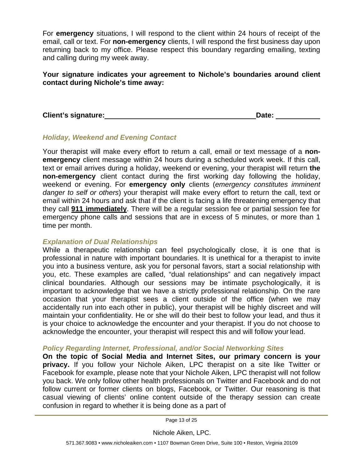For **emergency** situations, I will respond to the client within 24 hours of receipt of the email, call or text. For **non-emergency** clients, I will respond the first business day upon returning back to my office. Please respect this boundary regarding emailing, texting and calling during my week away.

**Your signature indicates your agreement to Nichole's boundaries around client contact during Nichole's time away:**

**Client's signature: Date:**

# *Holiday, Weekend and Evening Contact*

Your therapist will make every effort to return a call, email or text message of a **nonemergency** client message within 24 hours during a scheduled work week. If this call, text or email arrives during a holiday, weekend or evening, your therapist will return **the non-emergency** client contact during the first working day following the holiday, weekend or evening. For **emergency only** clients (*emergency constitutes imminent danger to self or others*) your therapist will make every effort to return the call, text or email within 24 hours and ask that if the client is facing a life threatening emergency that they call **911 immediately**. There will be a regular session fee or partial session fee for emergency phone calls and sessions that are in excess of 5 minutes, or more than 1 time per month.

# *Explanation of Dual Relationships*

While a therapeutic relationship can feel psychologically close, it is one that is professional in nature with important boundaries. It is unethical for a therapist to invite you into a business venture, ask you for personal favors, start a social relationship with you, etc. These examples are called, "dual relationships" and can negatively impact clinical boundaries. Although our sessions may be intimate psychologically, it is important to acknowledge that we have a strictly professional relationship. On the rare occasion that your therapist sees a client outside of the office (when we may accidentally run into each other in public), your therapist will be highly discreet and will maintain your confidentiality. He or she will do their best to follow your lead, and thus it is your choice to acknowledge the encounter and your therapist. If you do not choose to acknowledge the encounter, your therapist will respect this and will follow your lead.

# *Policy Regarding Internet, Professional, and/or Social Networking Sites*

**On the topic of Social Media and Internet Sites, our primary concern is your privacy.** If you follow your Nichole Aiken, LPC therapist on a site like Twitter or Facebook for example, please note that your Nichole Aiken, LPC therapist will not follow you back. We only follow other health professionals on Twitter and Facebook and do not follow current or former clients on blogs, Facebook, or Twitter. Our reasoning is that casual viewing of clients' online content outside of the therapy session can create confusion in regard to whether it is being done as a part of

Page 13 of 25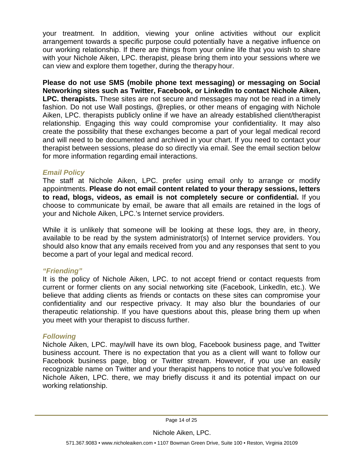your treatment. In addition, viewing your online activities without our explicit arrangement towards a specific purpose could potentially have a negative influence on our working relationship. If there are things from your online life that you wish to share with your Nichole Aiken, LPC. therapist, please bring them into your sessions where we can view and explore them together, during the therapy hour.

**Please do not use SMS (mobile phone text messaging) or messaging on Social Networking sites such as Twitter, Facebook, or LinkedIn to contact Nichole Aiken, LPC. therapists.** These sites are not secure and messages may not be read in a timely fashion. Do not use Wall postings, @replies, or other means of engaging with Nichole Aiken, LPC. therapists publicly online if we have an already established client/therapist relationship. Engaging this way could compromise your confidentiality. It may also create the possibility that these exchanges become a part of your legal medical record and will need to be documented and archived in your chart. If you need to contact your therapist between sessions, please do so directly via email. See the email section below for more information regarding email interactions.

### *Email Policy*

The staff at Nichole Aiken, LPC. prefer using email only to arrange or modify appointments. **Please do not email content related to your therapy sessions, letters to read, blogs, videos, as email is not completely secure or confidential.** If you choose to communicate by email, be aware that all emails are retained in the logs of your and Nichole Aiken, LPC.'s Internet service providers.

While it is unlikely that someone will be looking at these logs, they are, in theory, available to be read by the system administrator(s) of Internet service providers. You should also know that any emails received from you and any responses that sent to you become a part of your legal and medical record.

#### *"Friending"*

It is the policy of Nichole Aiken, LPC. to not accept friend or contact requests from current or former clients on any social networking site (Facebook, LinkedIn, etc.). We believe that adding clients as friends or contacts on these sites can compromise your confidentiality and our respective privacy. It may also blur the boundaries of our therapeutic relationship. If you have questions about this, please bring them up when you meet with your therapist to discuss further.

#### *Following*

Nichole Aiken, LPC. may/will have its own blog, Facebook business page, and Twitter business account. There is no expectation that you as a client will want to follow our Facebook business page, blog or Twitter stream. However, if you use an easily recognizable name on Twitter and your therapist happens to notice that you've followed Nichole Aiken, LPC. there, we may briefly discuss it and its potential impact on our working relationship.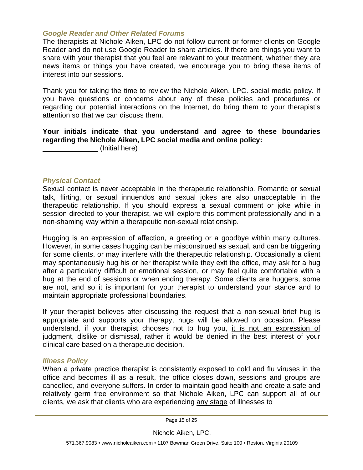#### *Google Reader and Other Related Forums*

The therapists at Nichole Aiken, LPC do not follow current or former clients on Google Reader and do not use Google Reader to share articles. If there are things you want to share with your therapist that you feel are relevant to your treatment, whether they are news items or things you have created, we encourage you to bring these items of interest into our sessions.

Thank you for taking the time to review the Nichole Aiken, LPC. social media policy. If you have questions or concerns about any of these policies and procedures or regarding our potential interactions on the Internet, do bring them to your therapist's attention so that we can discuss them.

### **Your initials indicate that you understand and agree to these boundaries regarding the Nichole Aiken, LPC social media and online policy:**

(Initial here)

#### *Physical Contact*

Sexual contact is never acceptable in the therapeutic relationship. Romantic or sexual talk, flirting, or sexual innuendos and sexual jokes are also unacceptable in the therapeutic relationship. If you should express a sexual comment or joke while in session directed to your therapist, we will explore this comment professionally and in a non-shaming way within a therapeutic non-sexual relationship.

Hugging is an expression of affection, a greeting or a goodbye within many cultures. However, in some cases hugging can be misconstrued as sexual, and can be triggering for some clients, or may interfere with the therapeutic relationship. Occasionally a client may spontaneously hug his or her therapist while they exit the office, may ask for a hug after a particularly difficult or emotional session, or may feel quite comfortable with a hug at the end of sessions or when ending therapy. Some clients are huggers, some are not, and so it is important for your therapist to understand your stance and to maintain appropriate professional boundaries.

If your therapist believes after discussing the request that a non-sexual brief hug is appropriate and supports your therapy, hugs will be allowed on occasion. Please understand, if your therapist chooses not to hug you, it is not an expression of judgment, dislike or dismissal, rather it would be denied in the best interest of your clinical care based on a therapeutic decision.

#### *Illness Policy*

When a private practice therapist is consistently exposed to cold and flu viruses in the office and becomes ill as a result, the office closes down, sessions and groups are cancelled, and everyone suffers. In order to maintain good health and create a safe and relatively germ free environment so that Nichole Aiken, LPC can support all of our clients, we ask that clients who are experiencing any stage of illnesses to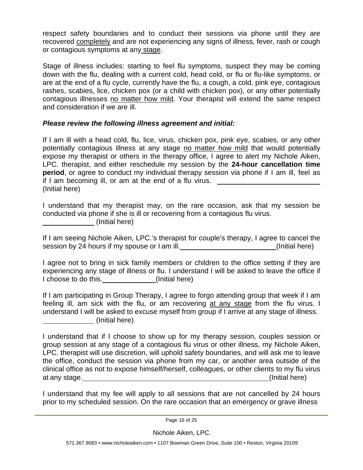respect safety boundaries and to conduct their sessions via phone until they are recovered completely and are not experiencing any signs of illness, fever, rash or cough or contagious symptoms at any stage.

Stage of illness includes: starting to feel flu symptoms, suspect they may be coming down with the flu, dealing with a current cold, head cold, or flu or flu-like symptoms, or are at the end of a flu cycle, currently have the flu, a cough, a cold, pink eye, contagious rashes, scabies, lice, chicken pox (or a child with chicken pox), or any other potentially contagious illnesses no matter how mild. Your therapist will extend the same respect and consideration if we are ill.

# *Please review the following illness agreement and initial:*

If I am ill with a head cold, flu, lice, virus, chicken pox, pink eye, scabies, or any other potentially contagious illness at any stage no matter how mild that would potentially expose my therapist or others in the therapy office, I agree to alert my Nichole Aiken, LPC. therapist, and either reschedule my session by the **24-hour cancellation time period**, or agree to conduct my individual therapy session via phone if I am ill, feel as if I am becoming ill, or am at the end of a flu virus. (Initial here)

I understand that my therapist may, on the rare occasion, ask that my session be conducted via phone if she is ill or recovering from a contagious flu virus. (Initial here)

If I am seeing Nichole Aiken, LPC.'s therapist for couple's therapy, I agree to cancel the session by 24 hours if my spouse or I am ill. (Initial here)

I agree not to bring in sick family members or children to the office setting if they are experiencing any stage of illness or flu. I understand I will be asked to leave the office if I choose to do this. (Initial here)

If I am participating in Group Therapy, I agree to forgo attending group that week if I am feeling ill, am sick with the flu, or am recovering at any stage from the flu virus. I understand I will be asked to excuse myself from group if I arrive at any stage of illness. (Initial here)

I understand that if I choose to show up for my therapy session, couples session or group session at any stage of a contagious flu virus or other illness, my Nichole Aiken, LPC. therapist will use discretion, will uphold safety boundaries, and will ask me to leave the office, conduct the session via phone from my car, or another area outside of the clinical office as not to expose himself/herself, colleagues, or other clients to my flu virus at any stage. (Initial here)

I understand that my fee will apply to all sessions that are not cancelled by 24 hours prior to my scheduled session. On the rare occasion that an emergency or grave illness

Page 16 of 25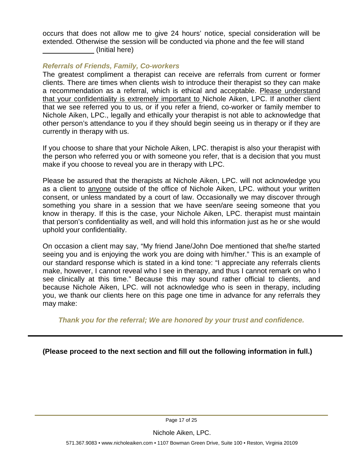occurs that does not allow me to give 24 hours' notice, special consideration will be extended. Otherwise the session will be conducted via phone and the fee will stand (Initial here)

### *Referrals of Friends, Family, Co-workers*

The greatest compliment a therapist can receive are referrals from current or former clients. There are times when clients wish to introduce their therapist so they can make a recommendation as a referral, which is ethical and acceptable. Please understand that your confidentiality is extremely important to Nichole Aiken, LPC. If another client that we see referred you to us, or if you refer a friend, co-worker or family member to Nichole Aiken, LPC., legally and ethically your therapist is not able to acknowledge that other person's attendance to you if they should begin seeing us in therapy or if they are currently in therapy with us.

If you choose to share that your Nichole Aiken, LPC. therapist is also your therapist with the person who referred you or with someone you refer, that is a decision that you must make if you choose to reveal you are in therapy with LPC.

Please be assured that the therapists at Nichole Aiken, LPC. will not acknowledge you as a client to anyone outside of the office of Nichole Aiken, LPC. without your written consent, or unless mandated by a court of law. Occasionally we may discover through something you share in a session that we have seen/are seeing someone that you know in therapy. If this is the case, your Nichole Aiken, LPC. therapist must maintain that person's confidentiality as well, and will hold this information just as he or she would uphold your confidentiality.

On occasion a client may say, "My friend Jane/John Doe mentioned that she/he started seeing you and is enjoying the work you are doing with him/her." This is an example of our standard response which is stated in a kind tone: "I appreciate any referrals clients make, however, I cannot reveal who I see in therapy, and thus I cannot remark on who I see clinically at this time." Because this may sound rather official to clients, and because Nichole Aiken, LPC. will not acknowledge who is seen in therapy, including you, we thank our clients here on this page one time in advance for any referrals they may make:

*Thank you for the referral; We are honored by your trust and confidence.*

**(Please proceed to the next section and fill out the following information in full.)**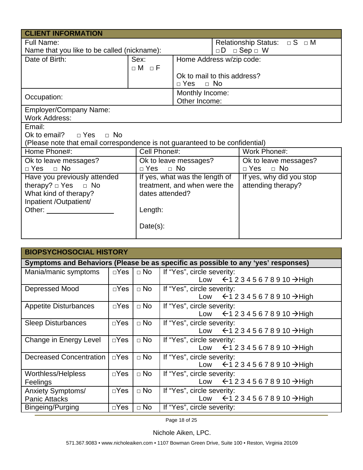| <b>CLIENT INFORMATION</b>                                                                                                                                                                                                      |                   |                                |           |                                        |  |
|--------------------------------------------------------------------------------------------------------------------------------------------------------------------------------------------------------------------------------|-------------------|--------------------------------|-----------|----------------------------------------|--|
| <b>Full Name:</b>                                                                                                                                                                                                              |                   |                                |           | Relationship Status: $\Box$ S $\Box$ M |  |
| Name that you like to be called (nickname):                                                                                                                                                                                    |                   |                                |           | $\Box D$ $\Box$ Sep $\Box$ W           |  |
| Date of Birth:                                                                                                                                                                                                                 | Sex:              | Home Address w/zip code:       |           |                                        |  |
|                                                                                                                                                                                                                                | $\Box M$ $\Box F$ |                                |           |                                        |  |
|                                                                                                                                                                                                                                |                   | Ok to mail to this address?    |           |                                        |  |
|                                                                                                                                                                                                                                |                   | $\Box$ Yes                     | $\Box$ No |                                        |  |
| Occupation:                                                                                                                                                                                                                    |                   | Monthly Income:                |           |                                        |  |
|                                                                                                                                                                                                                                |                   | Other Income:                  |           |                                        |  |
| <b>Employer/Company Name:</b>                                                                                                                                                                                                  |                   |                                |           |                                        |  |
| <b>Work Address:</b>                                                                                                                                                                                                           |                   |                                |           |                                        |  |
| Email:                                                                                                                                                                                                                         |                   |                                |           |                                        |  |
| Ok to email?<br>$\sqcap$ Yes<br>n No                                                                                                                                                                                           |                   |                                |           |                                        |  |
| (Please note that email correspondence is not guaranteed to be confidential)                                                                                                                                                   |                   |                                |           |                                        |  |
| Home Phone#:                                                                                                                                                                                                                   | Cell Phone#:      |                                |           | Work Phone#:                           |  |
| Ok to leave messages?                                                                                                                                                                                                          |                   | Ok to leave messages?          |           | Ok to leave messages?                  |  |
| $\Box$ No<br>$\Box$ Yes                                                                                                                                                                                                        |                   | $\Box$ No<br>$\sqcap$ Yes      |           | $\Box$ No<br>$\neg$ Yes                |  |
| Have you previously attended                                                                                                                                                                                                   |                   | If yes, what was the length of |           | If yes, why did you stop               |  |
| therapy? $\Box$ Yes $\Box$ No                                                                                                                                                                                                  |                   | treatment, and when were the   |           | attending therapy?                     |  |
| What kind of therapy?<br>dates attended?                                                                                                                                                                                       |                   |                                |           |                                        |  |
| Inpatient /Outpatient/                                                                                                                                                                                                         |                   |                                |           |                                        |  |
| Other: and the control of the control of the control of the control of the control of the control of the control of the control of the control of the control of the control of the control of the control of the control of t | Length:           |                                |           |                                        |  |
|                                                                                                                                                                                                                                |                   |                                |           |                                        |  |
|                                                                                                                                                                                                                                | Date(s):          |                                |           |                                        |  |
|                                                                                                                                                                                                                                |                   |                                |           |                                        |  |

| <b>BIOPSYCHOSOCIAL HISTORY</b>                                                    |               |           |                                                                                           |  |
|-----------------------------------------------------------------------------------|---------------|-----------|-------------------------------------------------------------------------------------------|--|
| Symptoms and Behaviors (Please be as specific as possible to any 'yes' responses) |               |           |                                                                                           |  |
| Mania/manic symptoms                                                              | $\square$ Yes | $\Box$ No | If "Yes", circle severity:<br>Low $\leftarrow$ 12345678910 $\rightarrow$ High             |  |
| Depressed Mood                                                                    | $\square$ Yes | $\Box$ No | If "Yes", circle severity:<br>Low $\leftarrow$ 12345678910 $\rightarrow$ High             |  |
| <b>Appetite Disturbances</b>                                                      | $\Box$ Yes    | $\Box$ No | If "Yes", circle severity:<br>Low $\leftarrow$ 12345678910 $\rightarrow$ High             |  |
| <b>Sleep Disturbances</b>                                                         | $\Box$ Yes    | $\Box$ No | If "Yes", circle severity:<br>Low $\leftarrow$ 12345678910 $\rightarrow$ High             |  |
| Change in Energy Level                                                            | $\Box$ Yes    | $\Box$ No | If "Yes", circle severity:<br>Low $\leftarrow$ 12345678910 $\rightarrow$ High             |  |
| <b>Decreased Concentration</b>                                                    | $\Box$ Yes    | $\Box$ No | If "Yes", circle severity:<br>Low $\leftarrow$ 12345678910 $\rightarrow$ High             |  |
| Worthless/Helpless<br>Feelings                                                    | $\square$ Yes | $\Box$ No | If "Yes", circle severity:<br>$\leftarrow$ 1 2 3 4 5 6 7 8 9 10 $\rightarrow$ High<br>Low |  |
| Anxiety Symptoms/<br><b>Panic Attacks</b>                                         | $\square$ Yes | $\Box$ No | If "Yes", circle severity:<br>Low $\leftarrow$ 12345678910 $\rightarrow$ High             |  |
| Bingeing/Purging                                                                  | $\Box$ Yes    | $\Box$ No | If "Yes", circle severity:                                                                |  |

Page 18 of 25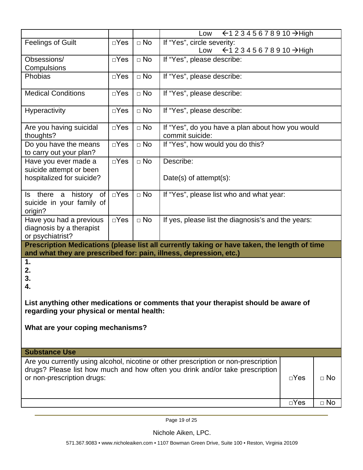|                                                                                                                                                                                                                                 |               |              | ← 1 2 3 4 5 6 7 8 9 10 → High<br>Low                                |  |  |
|---------------------------------------------------------------------------------------------------------------------------------------------------------------------------------------------------------------------------------|---------------|--------------|---------------------------------------------------------------------|--|--|
| <b>Feelings of Guilt</b>                                                                                                                                                                                                        | $\square$ Yes | $\square$ No | If "Yes", circle severity:<br>Low<br>← 1 2 3 4 5 6 7 8 9 10 → High  |  |  |
| Obsessions/<br>Compulsions                                                                                                                                                                                                      | $\Box$ Yes    | $\square$ No | If "Yes", please describe:                                          |  |  |
| Phobias                                                                                                                                                                                                                         | $\Box$ Yes    | $\square$ No | If "Yes", please describe:                                          |  |  |
| <b>Medical Conditions</b>                                                                                                                                                                                                       | $\Box$ Yes    | $\square$ No | If "Yes", please describe:                                          |  |  |
| Hyperactivity                                                                                                                                                                                                                   | $\Box$ Yes    | $\square$ No | If "Yes", please describe:                                          |  |  |
| Are you having suicidal<br>thoughts?                                                                                                                                                                                            | $\square$ Yes | $\square$ No | If "Yes", do you have a plan about how you would<br>commit suicide: |  |  |
| Do you have the means<br>to carry out your plan?                                                                                                                                                                                | $\Box$ Yes    | $\square$ No | If "Yes", how would you do this?                                    |  |  |
| Have you ever made a<br>suicide attempt or been                                                                                                                                                                                 | $\Box$ Yes    | $\square$ No | Describe:                                                           |  |  |
| hospitalized for suicide?                                                                                                                                                                                                       |               |              | Date(s) of $attention(t)$ :                                         |  |  |
| Is there a history of<br>suicide in your family of<br>origin?                                                                                                                                                                   | $\square$ Yes | $\Box$ No    | If "Yes", please list who and what year:                            |  |  |
| Have you had a previous<br>diagnosis by a therapist<br>or psychiatrist?                                                                                                                                                         | $\square$ Yes | $\Box$ No    | If yes, please list the diagnosis's and the years:                  |  |  |
| Prescription Medications (please list all currently taking or have taken, the length of time<br>and what they are prescribed for: pain, illness, depression, etc.)                                                              |               |              |                                                                     |  |  |
| 1.<br>2.<br>3.<br>4.<br>List anything other medications or comments that your therapist should be aware of<br>regarding your physical or mental health:                                                                         |               |              |                                                                     |  |  |
| What are your coping mechanisms?                                                                                                                                                                                                |               |              |                                                                     |  |  |
| <b>Substance Use</b>                                                                                                                                                                                                            |               |              |                                                                     |  |  |
| Are you currently using alcohol, nicotine or other prescription or non-prescription<br>drugs? Please list how much and how often you drink and/or take prescription<br>or non-prescription drugs:<br>$\square$ Yes<br>$\Box$ No |               |              |                                                                     |  |  |
|                                                                                                                                                                                                                                 |               |              | $\overline{\Box}$ Yes<br>$\Box$ No                                  |  |  |

Page 19 of 25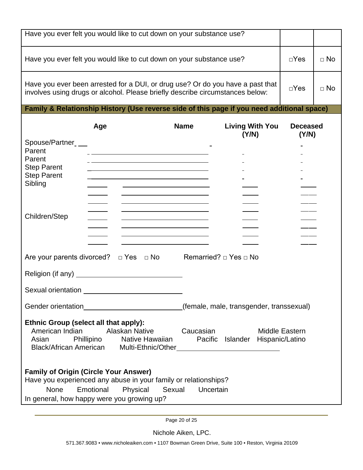| Have you ever felt you would like to cut down on your substance use?                                                                                                                                                   |                                                                                                                                                                                                                                           |             |                                          |                          |           |  |  |
|------------------------------------------------------------------------------------------------------------------------------------------------------------------------------------------------------------------------|-------------------------------------------------------------------------------------------------------------------------------------------------------------------------------------------------------------------------------------------|-------------|------------------------------------------|--------------------------|-----------|--|--|
| Have you ever felt you would like to cut down on your substance use?                                                                                                                                                   |                                                                                                                                                                                                                                           |             |                                          |                          | $\Box$ No |  |  |
| Have you ever been arrested for a DUI, or drug use? Or do you have a past that<br>involves using drugs or alcohol. Please briefly describe circumstances below:                                                        |                                                                                                                                                                                                                                           |             |                                          |                          | $\Box$ No |  |  |
|                                                                                                                                                                                                                        | Family & Relationship History (Use reverse side of this page if you need additional space)                                                                                                                                                |             |                                          |                          |           |  |  |
| Spouse/Partner__                                                                                                                                                                                                       | Age                                                                                                                                                                                                                                       | <b>Name</b> | <b>Living With You</b><br>(Y/N)          | <b>Deceased</b><br>(Y/N) |           |  |  |
| Parent                                                                                                                                                                                                                 |                                                                                                                                                                                                                                           |             |                                          |                          |           |  |  |
| Parent<br><b>Step Parent</b>                                                                                                                                                                                           |                                                                                                                                                                                                                                           |             |                                          |                          |           |  |  |
| <b>Step Parent</b>                                                                                                                                                                                                     |                                                                                                                                                                                                                                           |             |                                          |                          |           |  |  |
| Sibling                                                                                                                                                                                                                | <u> The Communication of the Communication of the Communication of the Communication of the Communication of</u><br><u> Alexander de la construcción de la construcción de la construcción de la construcción de la construcción de l</u> |             |                                          |                          |           |  |  |
|                                                                                                                                                                                                                        | <u> 1989 - Andrea Stadt Britain, amerikansk politiker (</u>                                                                                                                                                                               |             |                                          |                          |           |  |  |
| Children/Step                                                                                                                                                                                                          | <u> Alexander de la construcción de la construcción de la construcción de la construcción de la construcción de l</u>                                                                                                                     |             |                                          |                          |           |  |  |
|                                                                                                                                                                                                                        | <u> 1980 - Johann Barbara, martxa alemaniar a</u>                                                                                                                                                                                         |             |                                          |                          |           |  |  |
|                                                                                                                                                                                                                        |                                                                                                                                                                                                                                           |             |                                          |                          |           |  |  |
| Are your parents divorced? $\Box$ Yes $\Box$ No                                                                                                                                                                        |                                                                                                                                                                                                                                           |             |                                          |                          |           |  |  |
|                                                                                                                                                                                                                        |                                                                                                                                                                                                                                           |             |                                          |                          |           |  |  |
| Sexual orientation                                                                                                                                                                                                     |                                                                                                                                                                                                                                           |             |                                          |                          |           |  |  |
|                                                                                                                                                                                                                        |                                                                                                                                                                                                                                           |             | (female, male, transgender, transsexual) |                          |           |  |  |
| Ethnic Group (select all that apply):<br>American Indian<br><b>Alaskan Native</b><br>Caucasian<br>Middle Eastern<br>Phillipino Native Hawaiian<br>Asian<br>Pacific Islander Hispanic/Latino                            |                                                                                                                                                                                                                                           |             |                                          |                          |           |  |  |
| <b>Family of Origin (Circle Your Answer)</b><br>Have you experienced any abuse in your family or relationships?<br><b>None</b><br>Physical Sexual Uncertain<br>Emotional<br>In general, how happy were you growing up? |                                                                                                                                                                                                                                           |             |                                          |                          |           |  |  |

Page 20 of 25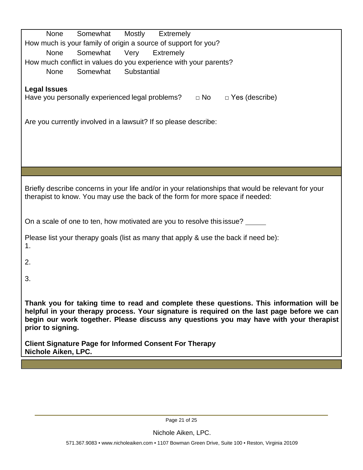| Somewhat<br>Mostly<br>Extremely<br>None                                                             |  |  |  |  |  |
|-----------------------------------------------------------------------------------------------------|--|--|--|--|--|
| How much is your family of origin a source of support for you?                                      |  |  |  |  |  |
| Somewhat<br><b>None</b><br>Very<br><b>Extremely</b>                                                 |  |  |  |  |  |
| How much conflict in values do you experience with your parents?                                    |  |  |  |  |  |
| Substantial<br>Somewhat<br><b>None</b>                                                              |  |  |  |  |  |
|                                                                                                     |  |  |  |  |  |
| <b>Legal Issues</b>                                                                                 |  |  |  |  |  |
| Have you personally experienced legal problems?<br>$\Box$ No<br>$\Box$ Yes (describe)               |  |  |  |  |  |
|                                                                                                     |  |  |  |  |  |
| Are you currently involved in a lawsuit? If so please describe:                                     |  |  |  |  |  |
|                                                                                                     |  |  |  |  |  |
|                                                                                                     |  |  |  |  |  |
|                                                                                                     |  |  |  |  |  |
|                                                                                                     |  |  |  |  |  |
|                                                                                                     |  |  |  |  |  |
|                                                                                                     |  |  |  |  |  |
|                                                                                                     |  |  |  |  |  |
| Briefly describe concerns in your life and/or in your relationships that would be relevant for your |  |  |  |  |  |
| therapist to know. You may use the back of the form for more space if needed:                       |  |  |  |  |  |
|                                                                                                     |  |  |  |  |  |
| On a scale of one to ten, how motivated are you to resolve this issue? ______                       |  |  |  |  |  |
|                                                                                                     |  |  |  |  |  |
| Please list your therapy goals (list as many that apply & use the back if need be):                 |  |  |  |  |  |
| 1.                                                                                                  |  |  |  |  |  |
|                                                                                                     |  |  |  |  |  |
| 2.                                                                                                  |  |  |  |  |  |
|                                                                                                     |  |  |  |  |  |
| 3.                                                                                                  |  |  |  |  |  |
|                                                                                                     |  |  |  |  |  |
| Thank you for taking time to read and complete these questions. This information will be            |  |  |  |  |  |
| helpful in your therapy process. Your signature is required on the last page before we can          |  |  |  |  |  |
| begin our work together. Please discuss any questions you may have with your therapist              |  |  |  |  |  |
| prior to signing.                                                                                   |  |  |  |  |  |
|                                                                                                     |  |  |  |  |  |
| <b>Client Signature Page for Informed Consent For Therapy</b>                                       |  |  |  |  |  |
| Nichole Aiken, LPC.                                                                                 |  |  |  |  |  |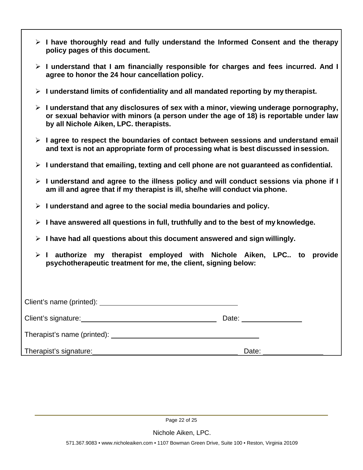- **I have thoroughly read and fully understand the Informed Consent and the therapy policy pages of this document.**
- **I understand that I am financially responsible for charges and fees incurred. And I agree to honor the 24 hour cancellation policy.**
- **I understand limits of confidentiality and all mandated reporting by my therapist.**
- **I understand that any disclosures of sex with a minor, viewing underage pornography, or sexual behavior with minors (a person under the age of 18) is reportable under law by all Nichole Aiken, LPC. therapists.**
- **I agree to respect the boundaries of contact between sessions and understand email and text is not an appropriate form of processing what is best discussed insession.**
- **I understand that emailing, texting and cell phone are not guaranteed as confidential.**
- **I understand and agree to the illness policy and will conduct sessions via phone if I am ill and agree that if my therapist is ill, she/he will conduct via phone.**
- **I understand and agree to the social media boundaries and policy.**
- **I have answered all questions in full, truthfully and to the best of my knowledge.**
- **I have had all questions about this document answered and sign willingly.**
- **I authorize my therapist employed with Nichole Aiken, LPC.. to provide psychotherapeutic treatment for me, the client, signing below:**

| Client's signature: example and the state of the state of the state of the state of the state of the state of the state of the state of the state of the state of the state of the state of the state of the state of the stat | Date: _______________ |
|--------------------------------------------------------------------------------------------------------------------------------------------------------------------------------------------------------------------------------|-----------------------|
|                                                                                                                                                                                                                                |                       |
| Therapist's signature:                                                                                                                                                                                                         | Date:                 |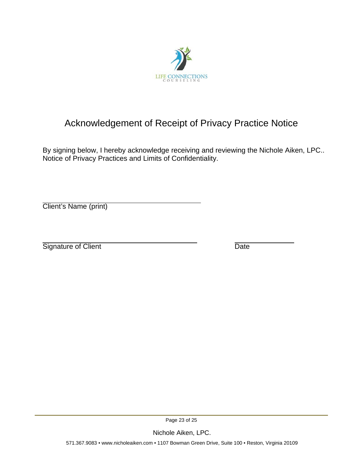

# Acknowledgement of Receipt of Privacy Practice Notice

By signing below, I hereby acknowledge receiving and reviewing the Nichole Aiken, LPC.. Notice of Privacy Practices and Limits of Confidentiality.

Client's Name (print)

Signature of Client Date

Page 23 of 25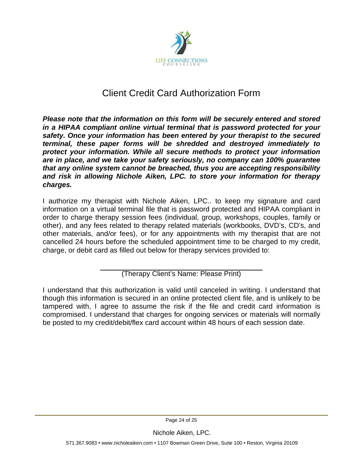

# Client Credit Card Authorization Form

*Please note that the information on this form will be securely entered and stored in a HIPAA compliant online virtual terminal that is password protected for your safety. Once your information has been entered by your therapist to the secured terminal, these paper forms will be shredded and destroyed immediately to protect your information. While all secure methods to protect your information are in place, and we take your safety seriously, no company can 100% guarantee that any online system cannot be breached, thus you are accepting responsibility and risk in allowing Nichole Aiken, LPC. to store your information for therapy charges.*

I authorize my therapist with Nichole Aiken, LPC.. to keep my signature and card information on a virtual terminal file that is password protected and HIPAA compliant in order to charge therapy session fees (individual, group, workshops, couples, family or other), and any fees related to therapy related materials (workbooks, DVD's, CD's, and other materials, and/or fees), or for any appointments with my therapist that are not cancelled 24 hours before the scheduled appointment time to be charged to my credit, charge, or debit card as filled out below for therapy services provided to:

(Therapy Client's Name: Please Print)

I understand that this authorization is valid until canceled in writing. I understand that though this information is secured in an online protected client file, and is unlikely to be tampered with, I agree to assume the risk if the file and credit card information is compromised. I understand that charges for ongoing services or materials will normally be posted to my credit/debit/flex card account within 48 hours of each session date.